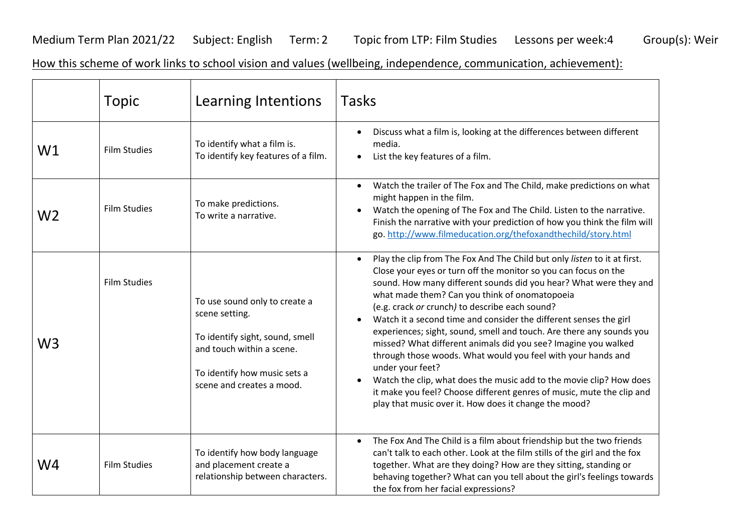Medium Term Plan 2021/22 Subject: English Term: 2 Topic from LTP: Film Studies Lessons per week:4 Group(s): Weir

How this scheme of work links to school vision and values (wellbeing, independence, communication, achievement):

|    | <b>Topic</b>        | Learning Intentions                                                                                                                                                          | <b>Tasks</b>                                                                                                                                                                                                                                                                                                                                                                                                                                                                                                                                                                                                                                                                                                                                                                                                                                 |
|----|---------------------|------------------------------------------------------------------------------------------------------------------------------------------------------------------------------|----------------------------------------------------------------------------------------------------------------------------------------------------------------------------------------------------------------------------------------------------------------------------------------------------------------------------------------------------------------------------------------------------------------------------------------------------------------------------------------------------------------------------------------------------------------------------------------------------------------------------------------------------------------------------------------------------------------------------------------------------------------------------------------------------------------------------------------------|
| W1 | <b>Film Studies</b> | To identify what a film is.<br>To identify key features of a film.                                                                                                           | Discuss what a film is, looking at the differences between different<br>media.<br>List the key features of a film.                                                                                                                                                                                                                                                                                                                                                                                                                                                                                                                                                                                                                                                                                                                           |
| W2 | <b>Film Studies</b> | To make predictions.<br>To write a narrative.                                                                                                                                | Watch the trailer of The Fox and The Child, make predictions on what<br>might happen in the film.<br>Watch the opening of The Fox and The Child. Listen to the narrative.<br>$\bullet$<br>Finish the narrative with your prediction of how you think the film will<br>go. http://www.filmeducation.org/thefoxandthechild/story.html                                                                                                                                                                                                                                                                                                                                                                                                                                                                                                          |
| W3 | <b>Film Studies</b> | To use sound only to create a<br>scene setting.<br>To identify sight, sound, smell<br>and touch within a scene.<br>To identify how music sets a<br>scene and creates a mood. | Play the clip from The Fox And The Child but only listen to it at first.<br>$\bullet$<br>Close your eyes or turn off the monitor so you can focus on the<br>sound. How many different sounds did you hear? What were they and<br>what made them? Can you think of onomatopoeia<br>(e.g. crack or crunch) to describe each sound?<br>Watch it a second time and consider the different senses the girl<br>experiences; sight, sound, smell and touch. Are there any sounds you<br>missed? What different animals did you see? Imagine you walked<br>through those woods. What would you feel with your hands and<br>under your feet?<br>Watch the clip, what does the music add to the movie clip? How does<br>it make you feel? Choose different genres of music, mute the clip and<br>play that music over it. How does it change the mood? |
| W4 | <b>Film Studies</b> | To identify how body language<br>and placement create a<br>relationship between characters.                                                                                  | The Fox And The Child is a film about friendship but the two friends<br>$\bullet$<br>can't talk to each other. Look at the film stills of the girl and the fox<br>together. What are they doing? How are they sitting, standing or<br>behaving together? What can you tell about the girl's feelings towards<br>the fox from her facial expressions?                                                                                                                                                                                                                                                                                                                                                                                                                                                                                         |